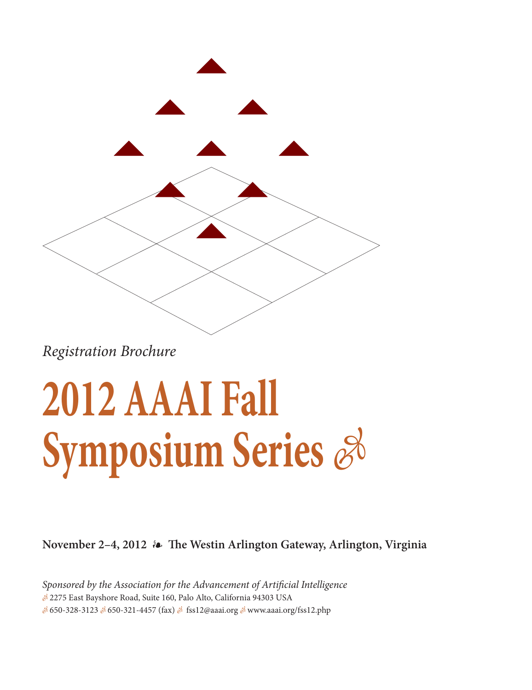

Registration Brochure

# **2012 AAAI Fall Symposium Series**  $\mathscr{E}$

**November 2–4, 2012 The Westin Arlington Gateway, Arlington, Virginia**

Sponsored by the Association for the Advancement of Artificial Intelligence - 2275 East Bayshore Road, Suite 160, Palo Alto, California 94303 USA & 650-328-3123 & 650-321-4457 (fax) & fss12@aaai.org & www.aaai.org/fss12.php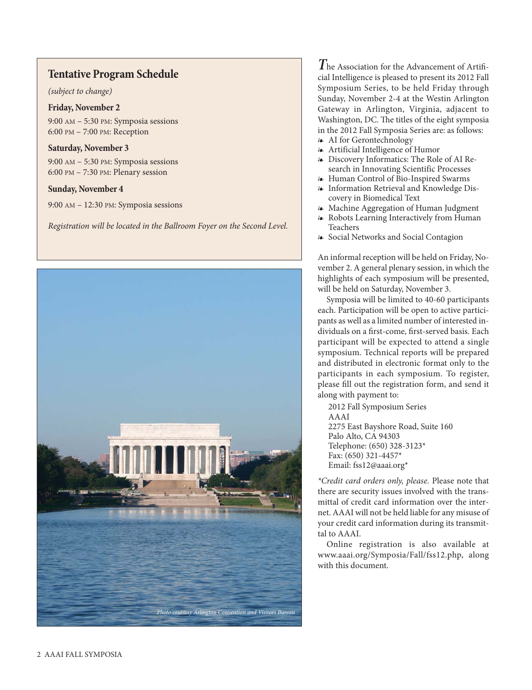### **Tentative Program Schedule**

(subject to change)

**Friday, November 2** 9:00 AM – 5:30 PM: Symposia sessions 6:00 PM – 7:00 PM: Reception

### **Saturday, November 3**

9:00 AM – 5:30 PM: Symposia sessions 6:00 PM – 7:30 PM: Plenary session

### **Sunday, November 4**

9:00 AM – 12:30 PM: Symposia sessions

Registration will be located in the Ballroom Foyer on the Second Level.



**T**he Association for the Advancement of Artificial Intelligence is pleased to present its 2012 Fall Symposium Series, to be held Friday through Sunday, November 2-4 at the Westin Arlington Gateway in Arlington, Virginia, adjacent to Washington, DC. The titles of the eight symposia in the 2012 Fall Symposia Series are: as follows:

- AI for Gerontechnology Artificial Intelligence of Humor
- Discovery Informatics: The Role of AI Research in Innovating Scientific Processes
- Human Control of Bio-Inspired Swarms
- Information Retrieval and Knowledge Discovery in Biomedical Text
- Machine Aggregation of Human Judgment
- Robots Learning Interactively from Human Teachers
- Social Networks and Social Contagion

An informal reception will be held on Friday, November 2. A general plenary session, in which the highlights of each symposium will be presented, will be held on Saturday, November 3.

Symposia will be limited to 40-60 participants each. Participation will be open to active participants as well as a limited number of interested individuals on a first-come, first-served basis. Each participant will be expected to attend a single symposium. Technical reports will be prepared and distributed in electronic format only to the participants in each symposium. To register, please fill out the registration form, and send it along with payment to:

2012 Fall Symposium Series AAAI 2275 East Bayshore Road, Suite 160 Palo Alto, CA 94303 Telephone: (650) 328-3123\* Fax: (650) 321-4457\* Email: fss12@aaai.org\*

\*Credit card orders only, please. Please note that there are security issues involved with the transmittal of credit card information over the internet. AAAI will not be held liable for any misuse of your credit card information during its transmittal to AAAI.

Online registration is also available at www.aaai.org/Symposia/Fall/fss12.php, along with this document.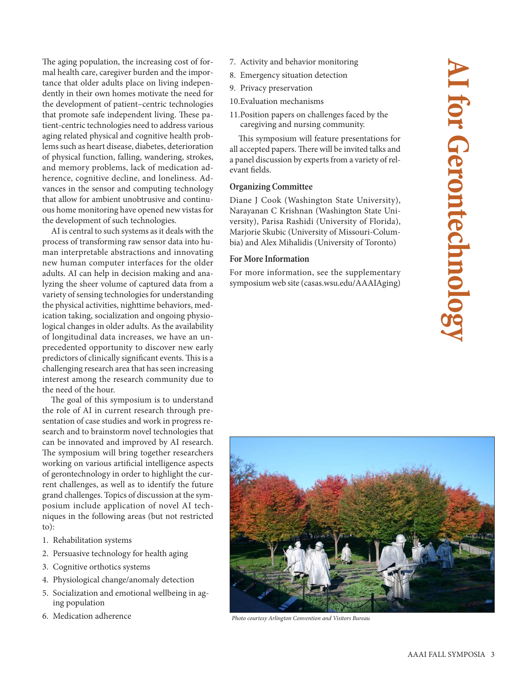The aging population, the increasing cost of formal health care, caregiver burden and the importance that older adults place on living independently in their own homes motivate the need for the development of patient–centric technologies that promote safe independent living. These patient-centric technologies need to address various aging related physical and cognitive health problems such as heart disease, diabetes, deterioration of physical function, falling, wandering, strokes, and memory problems, lack of medication adherence, cognitive decline, and loneliness. Advances in the sensor and computing technology that allow for ambient unobtrusive and continuous home monitoring have opened new vistas for the development of such technologies.

AI is central to such systems as it deals with the process of transforming raw sensor data into human interpretable abstractions and innovating new human computer interfaces for the older adults. AI can help in decision making and analyzing the sheer volume of captured data from a variety of sensing technologies for understanding the physical activities, nighttime behaviors, medication taking, socialization and ongoing physiological changes in older adults. As the availability of longitudinal data increases, we have an unprecedented opportunity to discover new early predictors of clinically significant events. This is a challenging research area that has seen increasing interest among the research community due to the need of the hour.

The goal of this symposium is to understand the role of AI in current research through presentation of case studies and work in progress research and to brainstorm novel technologies that can be innovated and improved by AI research. The symposium will bring together researchers working on various artificial intelligence aspects of gerontechnology in order to highlight the current challenges, as well as to identify the future grand challenges. Topics of discussion at the symposium include application of novel AI techniques in the following areas (but not restricted to):

- 1. Rehabilitation systems
- 2. Persuasive technology for health aging
- 3. Cognitive orthotics systems
- 4. Physiological change/anomaly detection
- 5. Socialization and emotional wellbeing in aging population
- 6. Medication adherence
- 7. Activity and behavior monitoring
- 8. Emergency situation detection
- 9. Privacy preservation
- 10.Evaluation mechanisms
- 11.Position papers on challenges faced by the caregiving and nursing community.

This symposium will feature presentations for all accepted papers. There will be invited talks and a panel discussion by experts from a variety of relevant fields.

**Organizion Committee Committee Committee Committee Constants Committee J Cook (Washington State University)**, Narayanan C Krishnan (Washington State University), Parisa Rashidi (University of Florida), Marjorie Skubic (University of Missouri-Columbia) and Alex Mihalidis (University of Toronto)

### **For More Information**

**For More Information** For more information, see the supplementary symposium web site (casas.wsu.edu/AAAIAging)



Photo courtesy Arlington Convention and Visitors Bureau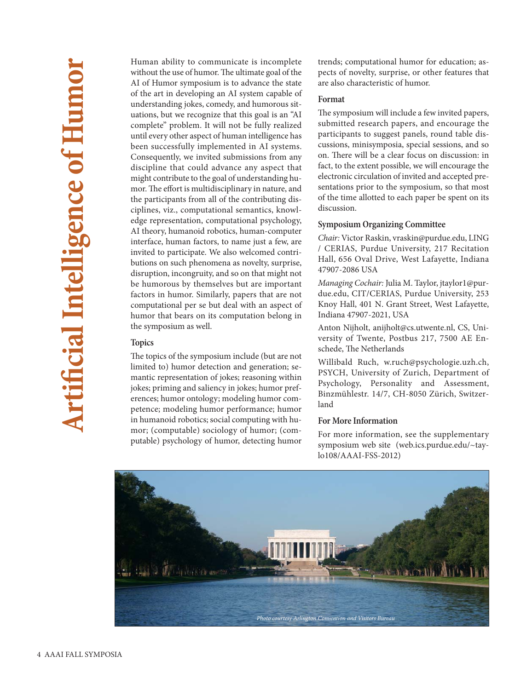Human ability to communicate is incomplete without the use of humor. The ultimate goal of the AI of Humor symposium is to advance the state of the art in developing an AI system capable of understanding jokes, comedy, and humorous situations, but we recognize that this goal is an "AI complete" problem. It will not be fully realized until every other aspect of human intelligence has been successfully implemented in AI systems. Consequently, we invited submissions from any discipline that could advance any aspect that might contribute to the goal of understanding humor. The effort is multidisciplinary in nature, and the participants from all of the contributing disciplines, viz., computational semantics, knowledge representation, computational psychology, AI theory, humanoid robotics, human-computer interface, human factors, to name just a few, are invited to participate. We also welcomed contributions on such phenomena as novelty, surprise, disruption, incongruity, and so on that might not be humorous by themselves but are important factors in humor. Similarly, papers that are not computational per se but deal with an aspect of humor that bears on its computation belong in the symposium as well.

**Topics** The topics of the symposium include (but are not limited to) humor detection and generation; semantic representation of jokes; reasoning within jokes; priming and saliency in jokes; humor preferences; humor ontology; modeling humor competence; modeling humor performance; humor in humanoid robotics; social computing with humor; (computable) sociology of humor; (computable) psychology of humor, detecting humor trends; computational humor for education; aspects of novelty, surprise, or other features that are also characteristic of humor.

### Format

**Format** The symposium will include a few invited papers, submitted research papers, and encourage the participants to suggest panels, round table discussions, minisymposia, special sessions, and so on. There will be a clear focus on discussion: in fact, to the extent possible, we will encourage the electronic circulation of invited and accepted presentations prior to the symposium, so that most of the time allotted to each paper be spent on its discussion.

**Symposium Organizing Committee** Chair: Victor Raskin, vraskin@purdue.edu, LING / CERIAS, Purdue University, 217 Recitation Hall, 656 Oval Drive, West Lafayette, Indiana 47907-2086 USA

Managing Cochair: Julia M. Taylor, jtaylor1@purdue.edu, CIT/CERIAS, Purdue University, 253 Knoy Hall, 401 N. Grant Street, West Lafayette, Indiana 47907-2021, USA

Anton Nijholt, anijholt@cs.utwente.nl, CS, University of Twente, Postbus 217, 7500 AE Enschede, The Netherlands

Willibald Ruch, w.ruch@psychologie.uzh.ch, PSYCH, University of Zurich, Department of Psychology, Personality and Assessment, Binzmühlestr. 14/7, CH-8050 Zürich, Switzerland

For more information, see the supplementary symposium web site (web.ics.purdue.edu/~taylo108/AAAI-FSS-2012)

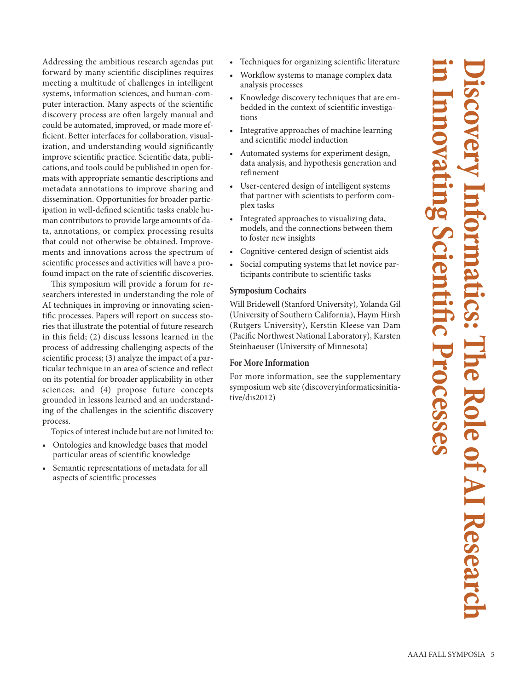Addressing the ambitious research agendas put forward by many scientific disciplines requires meeting a multitude of challenges in intelligent systems, information sciences, and human-computer interaction. Many aspects of the scientific discovery process are often largely manual and could be automated, improved, or made more efficient. Better interfaces for collaboration, visualization, and understanding would significantly improve scientific practice. Scientific data, publications, and tools could be published in open formats with appropriate semantic descriptions and metadata annotations to improve sharing and dissemination. Opportunities for broader participation in well-defined scientific tasks enable human contributors to provide large amounts of data, annotations, or complex processing results that could not otherwise be obtained. Improvements and innovations across the spectrum of scientific processes and activities will have a profound impact on the rate of scientific discoveries.

This symposium will provide a forum for researchers interested in understanding the role of AI techniques in improving or innovating scientific processes. Papers will report on success stories that illustrate the potential of future research in this field; (2) discuss lessons learned in the process of addressing challenging aspects of the scientific process; (3) analyze the impact of a particular technique in an area of science and reflect on its potential for broader applicability in other sciences; and (4) propose future concepts grounded in lessons learned and an understanding of the challenges in the scientific discovery process.

Topics of interest include but are not limited to:

- Ontologies and knowledge bases that model particular areas of scientific knowledge
- Semantic representations of metadata for all aspects of scientific processes
- Techniques for organizing scientific literature
- Workflow systems to manage complex data analysis processes
- Knowledge discovery techniques that are embedded in the context of scientific investigations
- Integrative approaches of machine learning and scientific model induction
- Automated systems for experiment design, data analysis, and hypothesis generation and refinement
- User-centered design of intelligent systems that partner with scientists to perform complex tasks
- Integrated approaches to visualizing data, models, and the connections between them to foster new insights
- Cognitive-centered design of scientist aids
- Social computing systems that let novice participants contribute to scientific tasks

**Symposium Cochairs** Will Bridewell (Stanford University), Yolanda Gil (University of Southern California), Haym Hirsh (Rutgers University), Kerstin Kleese van Dam (Pacific Northwest National Laboratory), Karsten Steinhaeuser (University of Minnesota)

For more information, see the supplementary symposium web site (discoveryinformaticsinitiative/dis2012)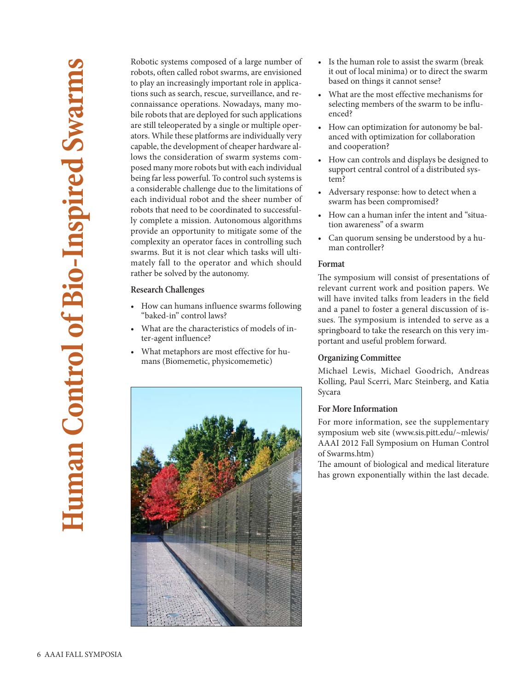Robotic systems composed of a large number of robots, often called robot swarms, are envisioned to play an increasingly important role in applications such as search, rescue, surveillance, and reconnaissance operations. Nowadays, many mobile robots that are deployed for such applications are still teleoperated by a single or multiple operators. While these platforms are individually very capable, the development of cheaper hardware allows the consideration of swarm systems composed many more robots but with each individual being far less powerful. To control such systems is a considerable challenge due to the limitations of each individual robot and the sheer number of robots that need to be coordinated to successfully complete a mission. Autonomous algorithms provide an opportunity to mitigate some of the complexity an operator faces in controlling such swarms. But it is not clear which tasks will ultimately fall to the operator and which should rather be solved by the autonomy.

### **Research Challenges**

- How can humans influence swarms following "baked‐in'' control laws?
- What are the characteristics of models of inter‐agent influence?
- What metaphors are most effective for humans (Biomemetic, physicomemetic)



- Is the human role to assist the swarm (break it out of local minima) or to direct the swarm based on things it cannot sense?
- What are the most effective mechanisms for selecting members of the swarm to be influenced?
- How can optimization for autonomy be balanced with optimization for collaboration and cooperation?
- How can controls and displays be designed to support central control of a distributed system?
- Adversary response: how to detect when a swarm has been compromised?
- How can a human infer the intent and "situation awareness" of a swarm
- Can quorum sensing be understood by a human controller?

### Format

**Format** The symposium will consist of presentations of relevant current work and position papers. We will have invited talks from leaders in the field and a panel to foster a general discussion of issues. The symposium is intended to serve as a springboard to take the research on this very important and useful problem forward.

**Organizing Committee** Michael Lewis, Michael Goodrich, Andreas Kolling, Paul Scerri, Marc Steinberg, and Katia Sycara

### **For More Information**

For more information, see the supplementary symposium web site (www.sis.pitt.edu/~mlewis/ AAAI 2012 Fall Symposium on Human Control of Swarms.htm)

The amount of biological and medical literature has grown exponentially within the last decade.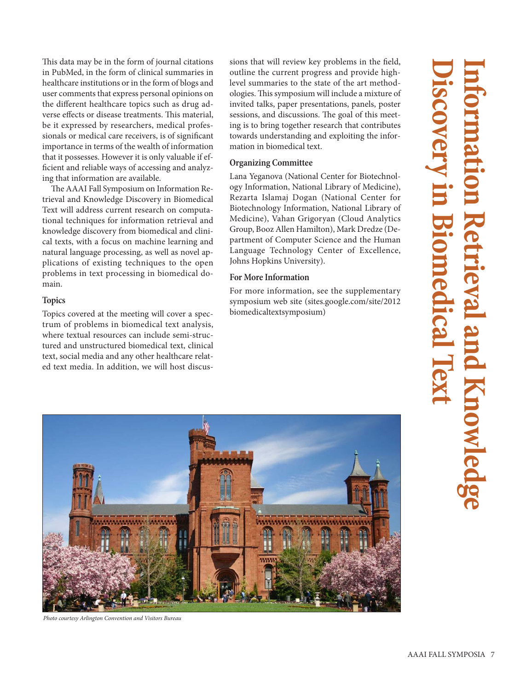This data may be in the form of journal citations in PubMed, in the form of clinical summaries in healthcare institutions or in the form of blogs and user comments that express personal opinions on the different healthcare topics such as drug adverse effects or disease treatments. This material, be it expressed by researchers, medical professionals or medical care receivers, is of significant importance in terms of the wealth of information that it possesses. However it is only valuable if efficient and reliable ways of accessing and analyzing that information are available.

The AAAI Fall Symposium on Information Retrieval and Knowledge Discovery in Biomedical Text will address current research on computational techniques for information retrieval and knowledge discovery from biomedical and clinical texts, with a focus on machine learning and natural language processing, as well as novel applications of existing techniques to the open problems in text processing in biomedical domain.

**Topics** Topics covered at the meeting will cover a spectrum of problems in biomedical text analysis, where textual resources can include semi-structured and unstructured biomedical text, clinical text, social media and any other healthcare related text media. In addition, we will host discussions that will review key problems in the field, outline the current progress and provide highlevel summaries to the state of the art methodologies. This symposium will include a mixture of invited talks, paper presentations, panels, poster sessions, and discussions. The goal of this meeting is to bring together research that contributes towards understanding and exploiting the information in biomedical text.

Lana Yeganova (National Center for Biotechnology Information, National Library of Medicine), Rezarta Islamaj Dogan (National Center for Biotechnology Information, National Library of Medicine), Vahan Grigoryan (Cloud Analytics Group, Booz Allen Hamilton), Mark Dredze (Department of Computer Science and the Human Language Technology Center of Excellence, Johns Hopkins University).

### **For More Information**

**For More Information** For more information, see the supplementary symposium web site (sites.google.com/site/2012 biomedicaltextsymposium)



Photo courtesy Arlington Convention and Visitors Bureau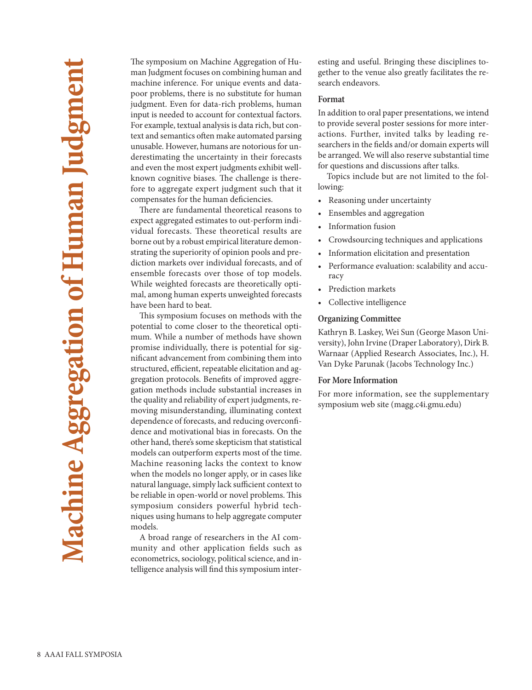The symposium on Machine Aggregation of Human Judgment focuses on combining human and machine inference. For unique events and datapoor problems, there is no substitute for human judgment. Even for data-rich problems, human input is needed to account for contextual factors. For example, textual analysis is data rich, but context and semantics often make automated parsing unusable. However, humans are notorious for underestimating the uncertainty in their forecasts and even the most expert judgments exhibit wellknown cognitive biases. The challenge is therefore to aggregate expert judgment such that it compensates for the human deficiencies.

There are fundamental theoretical reasons to expect aggregated estimates to out-perform individual forecasts. These theoretical results are borne out by a robust empirical literature demonstrating the superiority of opinion pools and prediction markets over individual forecasts, and of ensemble forecasts over those of top models. While weighted forecasts are theoretically optimal, among human experts unweighted forecasts have been hard to beat.

This symposium focuses on methods with the potential to come closer to the theoretical optimum. While a number of methods have shown promise individually, there is potential for significant advancement from combining them into structured, efficient, repeatable elicitation and aggregation protocols. Benefits of improved aggregation methods include substantial increases in the quality and reliability of expert judgments, removing misunderstanding, illuminating context dependence of forecasts, and reducing overconfidence and motivational bias in forecasts. On the other hand, there's some skepticism that statistical models can outperform experts most of the time. Machine reasoning lacks the context to know when the models no longer apply, or in cases like natural language, simply lack sufficient context to be reliable in open-world or novel problems. This symposium considers powerful hybrid techniques using humans to help aggregate computer models.

A broad range of researchers in the AI community and other application fields such as econometrics, sociology, political science, and intelligence analysis will find this symposium interesting and useful. Bringing these disciplines together to the venue also greatly facilitates the research endeavors.

### Format

**Format** In addition to oral paper presentations, we intend to provide several poster sessions for more interactions. Further, invited talks by leading researchers in the fields and/or domain experts will be arranged. We will also reserve substantial time for questions and discussions after talks.

Topics include but are not limited to the following:

- Reasoning under uncertainty
- Ensembles and aggregation
- Information fusion
- Crowdsourcing techniques and applications
- Information elicitation and presentation
- Performance evaluation: scalability and accuracy
- Prediction markets
- Collective intelligence

**Organizing Committee** Kathryn B. Laskey, Wei Sun (George Mason University), John Irvine (Draper Laboratory), Dirk B. Warnaar (Applied Research Associates, Inc.), H. Van Dyke Parunak (Jacobs Technology Inc.)

**For More Information** For more information, see the supplementary symposium web site (magg.c4i.gmu.edu)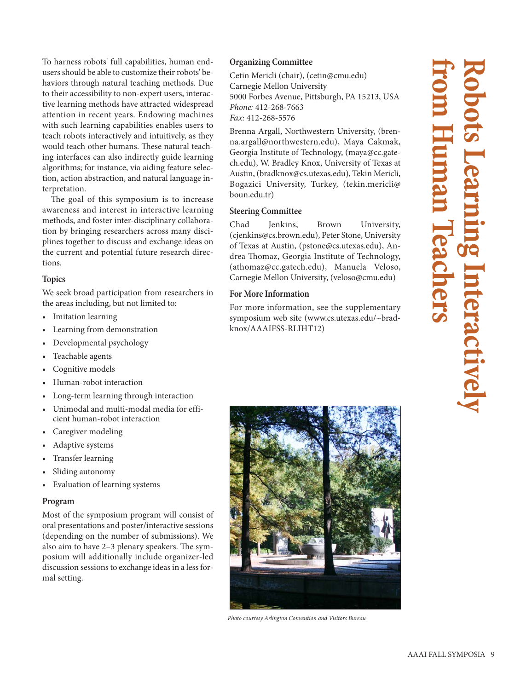To harness robots' full capabilities, human endusers should be able to customize their robots' behaviors through natural teaching methods. Due to their accessibility to non-expert users, interactive learning methods have attracted widespread attention in recent years. Endowing machines with such learning capabilities enables users to teach robots interactively and intuitively, as they would teach other humans. These natural teaching interfaces can also indirectly guide learning algorithms; for instance, via aiding feature selection, action abstraction, and natural language interpretation.

The goal of this symposium is to increase awareness and interest in interactive learning methods, and foster inter-disciplinary collaboration by bringing researchers across many disciplines together to discuss and exchange ideas on the current and potential future research directions.

**Topics**<br>We seek broad participation from researchers in the areas including, but not limited to:

- Imitation learning
- Learning from demonstration
- Developmental psychology
- Teachable agents
- Cognitive models
- Human-robot interaction
- Long-term learning through interaction
- Unimodal and multi-modal media for efficient human-robot interaction
- Caregiver modeling
- Adaptive systems
- Transfer learning
- Sliding autonomy
- Evaluation of learning systems

**Program** Most of the symposium program will consist of oral presentations and poster/interactive sessions (depending on the number of submissions). We also aim to have 2–3 plenary speakers. The symposium will additionally include organizer-led discussion sessions to exchange ideas in a less formal setting.

Cetin Mericli (chair), (cetin@cmu.edu) Carnegie Mellon University 5000 Forbes Avenue, Pittsburgh, PA 15213, USA Phone: 412-268-7663 Fax: 412-268-5576

Brenna Argall, Northwestern University, (brenna.argall@northwestern.edu), Maya Cakmak, Georgia Institute of Technology, (maya@cc.gatech.edu), W. Bradley Knox, University of Texas at Austin, (bradknox@cs.utexas.edu), Tekin Mericli, Bogazici University, Turkey, (tekin.mericli@ boun.edu.tr)

# **Steering Committee**<br>Chad Jenkins,

Brown University, (cjenkins@cs.brown.edu), Peter Stone, University of Texas at Austin, (pstone@cs.utexas.edu), Andrea Thomaz, Georgia Institute of Technology, (athomaz@cc.gatech.edu), Manuela Veloso, Carnegie Mellon University, (veloso@cmu.edu)

### **For More Information**

**For More Information** For more information, see the supplementary symposium web site (www.cs.utexas.edu/~bradknox/AAAIFSS-RLIHT12)



Photo courtesy Arlington Convention and Visitors Bureau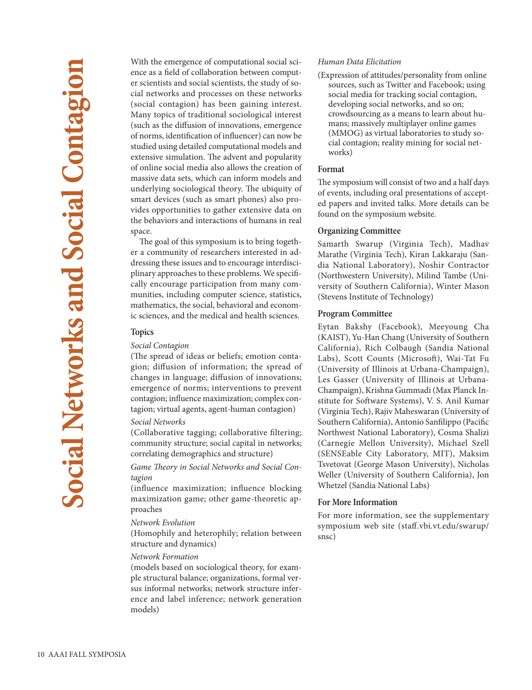With the emergence of computational social science as a field of collaboration between computer scientists and social scientists, the study of social networks and processes on these networks (social contagion) has been gaining interest. Many topics of traditional sociological interest (such as the diffusion of innovations, emergence of norms, identification of influencer) can now be studied using detailed computational models and extensive simulation. The advent and popularity of online social media also allows the creation of massive data sets, which can inform models and underlying sociological theory. The ubiquity of smart devices (such as smart phones) also provides opportunities to gather extensive data on the behaviors and interactions of humans in real space.

The goal of this symposium is to bring together a community of researchers interested in addressing these issues and to encourage interdisciplinary approaches to these problems. We specifically encourage participation from many communities, including computer science, statistics, mathematics, the social, behavioral and economic sciences, and the medical and health sciences.

# **Topics** Social Contagion

(The spread of ideas or beliefs; emotion contagion; diffusion of information; the spread of changes in language; diffusion of innovations; emergence of norms; interventions to prevent contagion; influence maximization; complex contagion; virtual agents, agent-human contagion)

### Social Networks

(Collaborative tagging; collaborative filtering; community structure; social capital in networks; correlating demographics and structure)

Game Theory in Social Networks and Social Contagion

(influence maximization; influence blocking maximization game; other game-theoretic approaches

### Network Evolution

(Homophily and heterophily; relation between structure and dynamics)

### Network Formation

(models based on sociological theory, for example structural balance; organizations, formal versus informal networks; network structure inference and label inference; network generation models)

### Human Data Elicitation

(Expression of attitudes/personality from online sources, such as Twitter and Facebook; using social media for tracking social contagion, developing social networks, and so on; crowdsourcing as a means to learn about humans; massively multiplayer online games (MMOG) as virtual laboratories to study social contagion; reality mining for social networks)

### Format

**Format** The symposium will consist of two and a half days of events, including oral presentations of accepted papers and invited talks. More details can be found on the symposium website.

**Organizing Committee** Samarth Swarup (Virginia Tech), Madhav Marathe (Virginia Tech), Kiran Lakkaraju (Sandia National Laboratory), Noshir Contractor (Northwestern University), Milind Tambe (University of Southern California), Winter Mason (Stevens Institute of Technology)

**Program Committee** Eytan Bakshy (Facebook), Meeyoung Cha (KAIST), Yu-Han Chang (University of Southern California), Rich Colbaugh (Sandia National Labs), Scott Counts (Microsoft), Wai-Tat Fu (University of Illinois at Urbana-Champaign), Les Gasser (University of Illinois at Urbana-Champaign), Krishna Gummadi (Max Planck Institute for Software Systems), V. S. Anil Kumar (Virginia Tech), Rajiv Maheswaran (University of Southern California), Antonio Sanfilippo (Pacific Northwest National Laboratory), Cosma Shalizi (Carnegie Mellon University), Michael Szell (SENSEable City Laboratory, MIT), Maksim Tsvetovat (George Mason University), Nicholas Weller (University of Southern California), Jon Whetzel (Sandia National Labs)

**For More Information** For more information, see the supplementary symposium web site (staff.vbi.vt.edu/swarup/ snsc)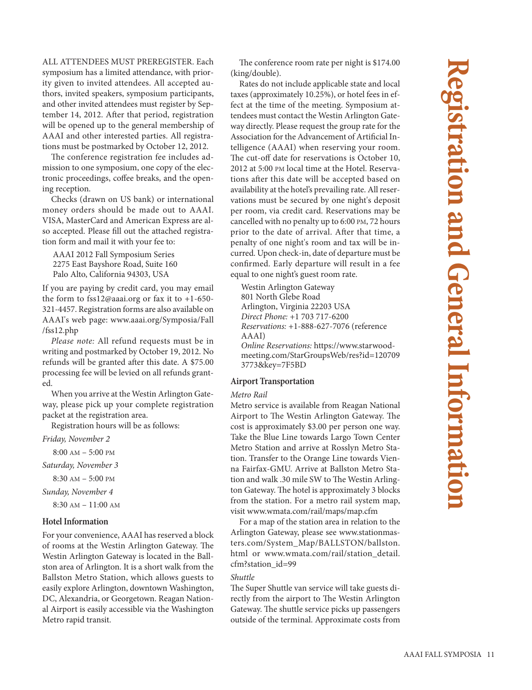ALL ATTENDEES MUST PREREGISTER. Each symposium has a limited attendance, with priority given to invited attendees. All accepted authors, invited speakers, symposium participants, and other invited attendees must register by September 14, 2012. After that period, registration will be opened up to the general membership of AAAI and other interested parties. All registrations must be postmarked by October 12, 2012.

The conference registration fee includes admission to one symposium, one copy of the electronic proceedings, coffee breaks, and the opening reception.

Checks (drawn on US bank) or international money orders should be made out to AAAI. VISA, MasterCard and American Express are also accepted. Please fill out the attached registration form and mail it with your fee to:

AAAI 2012 Fall Symposium Series 2275 East Bayshore Road, Suite 160 Palo Alto, California 94303, USA

If you are paying by credit card, you may email the form to fss12@aaai.org or fax it to +1-650- 321-4457. Registration forms are also available on AAAI's web page: www.aaai.org/Symposia/Fall /fss12.php

Please note: All refund requests must be in writing and postmarked by October 19, 2012. No refunds will be granted after this date. A \$75.00 processing fee will be levied on all refunds granted.

When you arrive at the Westin Arlington Gateway, please pick up your complete registration packet at the registration area.

Registration hours will be as follows:

Friday, November 2

8:00 AM – 5:00 PM

Saturday, November 3

8:30 AM – 5:00 PM

Sunday, November 4

8:30 AM – 11:00 AM

**For your convenience, AAAI has reserved a block** of rooms at the Westin Arlington Gateway. The Westin Arlington Gateway is located in the Ballston area of Arlington. It is a short walk from the Ballston Metro Station, which allows guests to easily explore Arlington, downtown Washington, DC, Alexandria, or Georgetown. Reagan National Airport is easily accessible via the Washington Metro rapid transit.

The conference room rate per night is \$174.00 (king/double).

Rates do not include applicable state and local taxes (approximately 10.25%), or hotel fees in effect at the time of the meeting. Symposium attendees must contact the Westin Arlington Gateway directly. Please request the group rate for the Association for the Advancement of Artificial Intelligence (AAAI) when reserving your room. The cut-off date for reservations is October 10, 2012 at 5:00 PM local time at the Hotel. Reservations after this date will be accepted based on availability at the hotel's prevailing rate. All reservations must be secured by one night's deposit per room, via credit card. Reservations may be cancelled with no penalty up to 6:00 PM, 72 hours prior to the date of arrival. After that time, a penalty of one night's room and tax will be incurred. Upon check-in, date of departure must be confirmed. Early departure will result in a fee equal to one night's guest room rate.

Westin Arlington Gateway 801 North Glebe Road Arlington, Virginia 22203 USA Direct Phone: +1 703 717-6200 Reservations: +1-888-627-7076 (reference AAAI) Online Reservations: https://www.starwoodmeeting.com/StarGroupsWeb/res?id=120709 3773&key=7F5BD

# **A**<br>**Metro Rail**

Metro service is available from Reagan National Airport to The Westin Arlington Gateway. The cost is approximately \$3.00 per person one way. Take the Blue Line towards Largo Town Center Metro Station and arrive at Rosslyn Metro Station. Transfer to the Orange Line towards Vienna Fairfax-GMU. Arrive at Ballston Metro Station and walk .30 mile SW to The Westin Arlington Gateway. The hotel is approximately 3 blocks from the station. For a metro rail system map, visit www.wmata.com/rail/maps/map.cfm

For a map of the station area in relation to the Arlington Gateway, please see www.stationmasters.com/System\_Map/BALLSTON/ballston. html or www.wmata.com/rail/station\_detail. cfm?station\_id=99

### Shuttle

The Super Shuttle van service will take guests directly from the airport to The Westin Arlington Gateway. The shuttle service picks up passengers outside of the terminal. Approximate costs from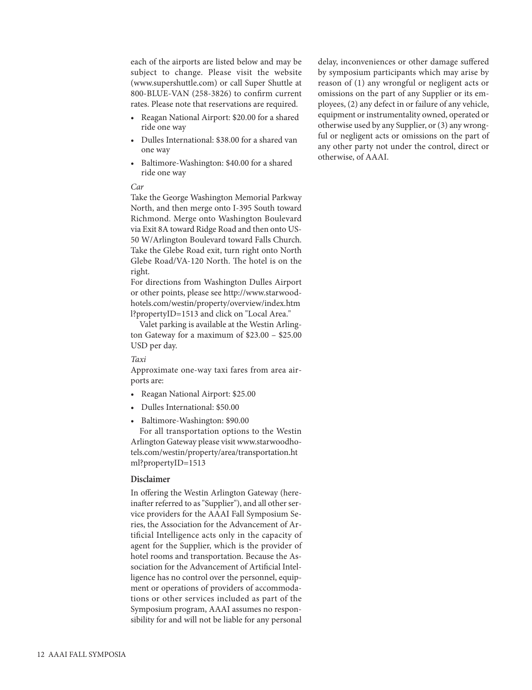each of the airports are listed below and may be subject to change. Please visit the website (www.supershuttle.com) or call Super Shuttle at 800-BLUE-VAN (258-3826) to confirm current rates. Please note that reservations are required.

- Reagan National Airport: \$20.00 for a shared ride one way
- Dulles International: \$38.00 for a shared van one way
- Baltimore-Washington: \$40.00 for a shared ride one way

### Car

Take the George Washington Memorial Parkway North, and then merge onto I-395 South toward Richmond. Merge onto Washington Boulevard via Exit 8A toward Ridge Road and then onto US-50 W/Arlington Boulevard toward Falls Church. Take the Glebe Road exit, turn right onto North Glebe Road/VA-120 North. The hotel is on the right.

For directions from Washington Dulles Airport or other points, please see http://www.starwoodhotels.com/westin/property/overview/index.htm l?propertyID=1513 and click on "Local Area."

Valet parking is available at the Westin Arlington Gateway for a maximum of \$23.00 – \$25.00 USD per day.

### Taxi

Approximate one-way taxi fares from area airports are:

- Reagan National Airport: \$25.00
- Dulles International: \$50.00
- Baltimore-Washington: \$90.00

For all transportation options to the Westin Arlington Gateway please visit www.starwoodhotels.com/westin/property/area/transportation.ht ml?propertyID=1513

### Disclaimer

In offering the Westin Arlington Gateway (hereinafter referred to as "Supplier"), and all other service providers for the AAAI Fall Symposium Series, the Association for the Advancement of Artificial Intelligence acts only in the capacity of agent for the Supplier, which is the provider of hotel rooms and transportation. Because the Association for the Advancement of Artificial Intelligence has no control over the personnel, equipment or operations of providers of accommodations or other services included as part of the Symposium program, AAAI assumes no responsibility for and will not be liable for any personal

delay, inconveniences or other damage suffered by symposium participants which may arise by reason of (1) any wrongful or negligent acts or omissions on the part of any Supplier or its employees, (2) any defect in or failure of any vehicle, equipment or instrumentality owned, operated or otherwise used by any Supplier, or (3) any wrongful or negligent acts or omissions on the part of any other party not under the control, direct or otherwise, of AAAI.